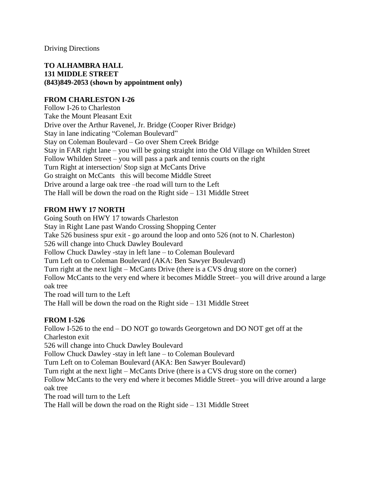Driving Directions

## **TO ALHAMBRA HALL 131 MIDDLE STREET (843)849-2053 (shown by appointment only)**

## **FROM CHARLESTON I-26**

Follow I-26 to Charleston Take the Mount Pleasant Exit Drive over the Arthur Ravenel, Jr. Bridge (Cooper River Bridge) Stay in lane indicating "Coleman Boulevard" Stay on Coleman Boulevard – Go over Shem Creek Bridge Stay in FAR right lane – you will be going straight into the Old Village on Whilden Street Follow Whilden Street – you will pass a park and tennis courts on the right Turn Right at intersection/ Stop sign at McCants Drive Go straight on McCants this will become Middle Street Drive around a large oak tree –the road will turn to the Left The Hall will be down the road on the Right side – 131 Middle Street

# **FROM HWY 17 NORTH**

Going South on HWY 17 towards Charleston Stay in Right Lane past Wando Crossing Shopping Center Take 526 business spur exit - go around the loop and onto 526 (not to N. Charleston) 526 will change into Chuck Dawley Boulevard Follow Chuck Dawley -stay in left lane – to Coleman Boulevard Turn Left on to Coleman Boulevard (AKA: Ben Sawyer Boulevard) Turn right at the next light – McCants Drive (there is a CVS drug store on the corner) Follow McCants to the very end where it becomes Middle Street– you will drive around a large oak tree The road will turn to the Left

The Hall will be down the road on the Right side – 131 Middle Street

# **FROM I-526**

Follow I-526 to the end – DO NOT go towards Georgetown and DO NOT get off at the Charleston exit 526 will change into Chuck Dawley Boulevard Follow Chuck Dawley -stay in left lane – to Coleman Boulevard Turn Left on to Coleman Boulevard (AKA: Ben Sawyer Boulevard) Turn right at the next light – McCants Drive (there is a CVS drug store on the corner) Follow McCants to the very end where it becomes Middle Street– you will drive around a large oak tree The road will turn to the Left The Hall will be down the road on the Right side – 131 Middle Street